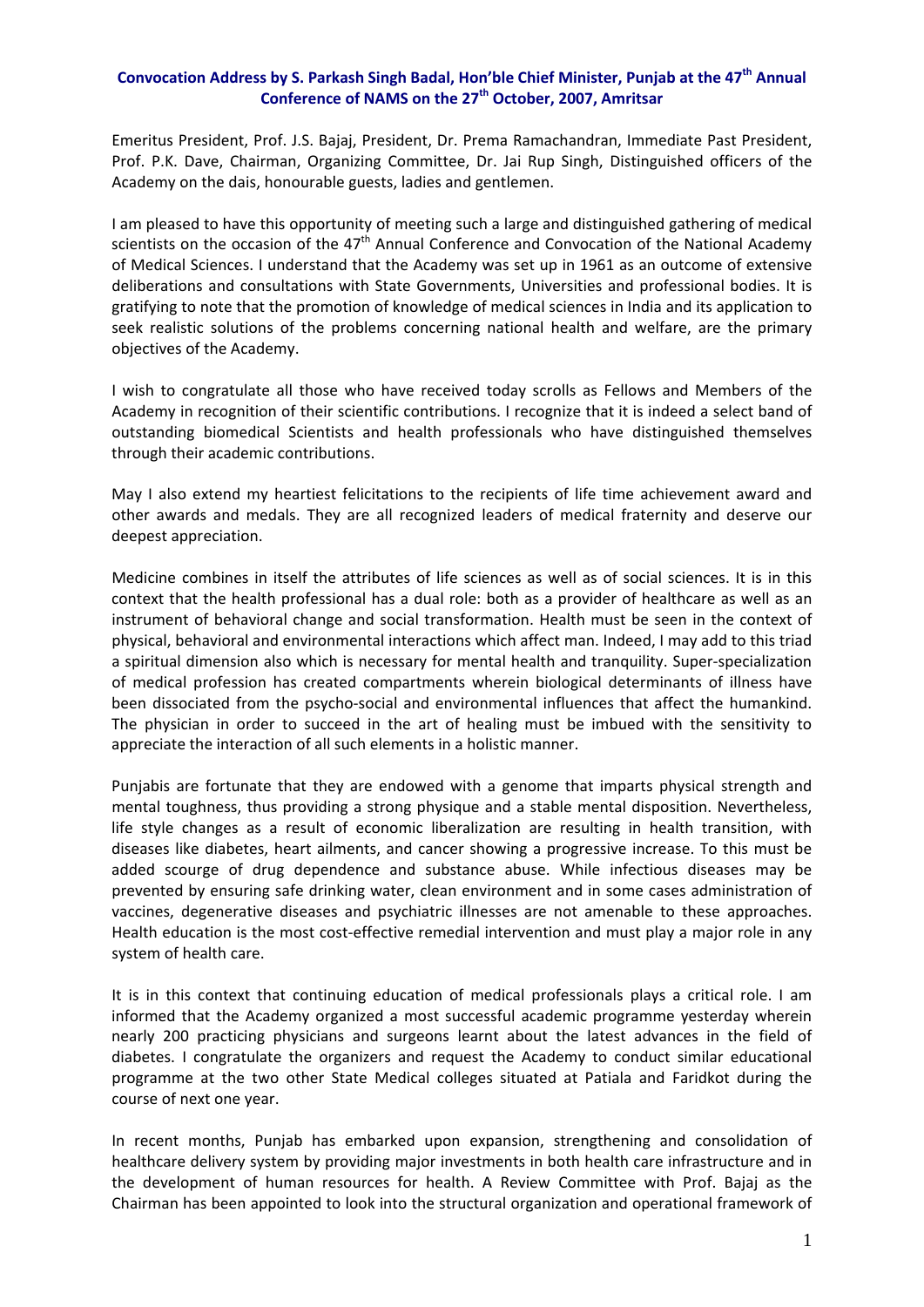## **Convocation Address by S. Parkash Singh Badal, Hon'ble Chief Minister, Punjab at the 47th Annual Conference of NAMS on the 27th October, 2007, Amritsar**

Emeritus President, Prof. J.S. Bajaj, President, Dr. Prema Ramachandran, Immediate Past President, Prof. P.K. Dave, Chairman, Organizing Committee, Dr. Jai Rup Singh, Distinguished officers of the Academy on the dais, honourable guests, ladies and gentlemen.

I am pleased to have this opportunity of meeting such a large and distinguished gathering of medical scientists on the occasion of the  $47<sup>th</sup>$  Annual Conference and Convocation of the National Academy of Medical Sciences. I understand that the Academy was set up in 1961 as an outcome of extensive deliberations and consultations with State Governments, Universities and professional bodies. It is gratifying to note that the promotion of knowledge of medical sciences in India and its application to seek realistic solutions of the problems concerning national health and welfare, are the primary objectives of the Academy.

I wish to congratulate all those who have received today scrolls as Fellows and Members of the Academy in recognition of their scientific contributions. I recognize that it is indeed a select band of outstanding biomedical Scientists and health professionals who have distinguished themselves through their academic contributions.

May I also extend my heartiest felicitations to the recipients of life time achievement award and other awards and medals. They are all recognized leaders of medical fraternity and deserve our deepest appreciation.

Medicine combines in itself the attributes of life sciences as well as of social sciences. It is in this context that the health professional has a dual role: both as a provider of healthcare as well as an instrument of behavioral change and social transformation. Health must be seen in the context of physical, behavioral and environmental interactions which affect man. Indeed, I may add to this triad a spiritual dimension also which is necessary for mental health and tranquility. Super‐specialization of medical profession has created compartments wherein biological determinants of illness have been dissociated from the psycho-social and environmental influences that affect the humankind. The physician in order to succeed in the art of healing must be imbued with the sensitivity to appreciate the interaction of all such elements in a holistic manner.

Punjabis are fortunate that they are endowed with a genome that imparts physical strength and mental toughness, thus providing a strong physique and a stable mental disposition. Nevertheless, life style changes as a result of economic liberalization are resulting in health transition, with diseases like diabetes, heart ailments, and cancer showing a progressive increase. To this must be added scourge of drug dependence and substance abuse. While infectious diseases may be prevented by ensuring safe drinking water, clean environment and in some cases administration of vaccines, degenerative diseases and psychiatric illnesses are not amenable to these approaches. Health education is the most cost-effective remedial intervention and must play a major role in any system of health care.

It is in this context that continuing education of medical professionals plays a critical role. I am informed that the Academy organized a most successful academic programme yesterday wherein nearly 200 practicing physicians and surgeons learnt about the latest advances in the field of diabetes. I congratulate the organizers and request the Academy to conduct similar educational programme at the two other State Medical colleges situated at Patiala and Faridkot during the course of next one year.

In recent months, Punjab has embarked upon expansion, strengthening and consolidation of healthcare delivery system by providing major investments in both health care infrastructure and in the development of human resources for health. A Review Committee with Prof. Bajaj as the Chairman has been appointed to look into the structural organization and operational framework of